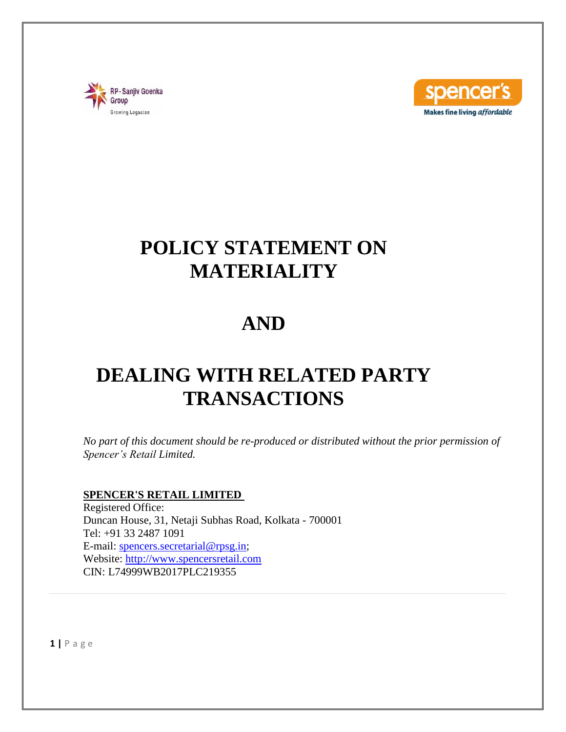



# **POLICY STATEMENT ON MATERIALITY**

# **AND**

# **DEALING WITH RELATED PARTY TRANSACTIONS**

*No part of this document should be re-produced or distributed without the prior permission of Spencer's Retail Limited.*

### **SPENCER'S RETAIL LIMITED**

Registered Office: Duncan House, 31, Netaji Subhas Road, Kolkata - 700001 Tel: +91 33 2487 1091 E-mail: [spencers.secretarial@rpsg.in;](mailto:spencers.secretarial@rpsg.in) Website: [http://www.spencersretail.com](http://www.spencersretail.com/) CIN: L74999WB2017PLC219355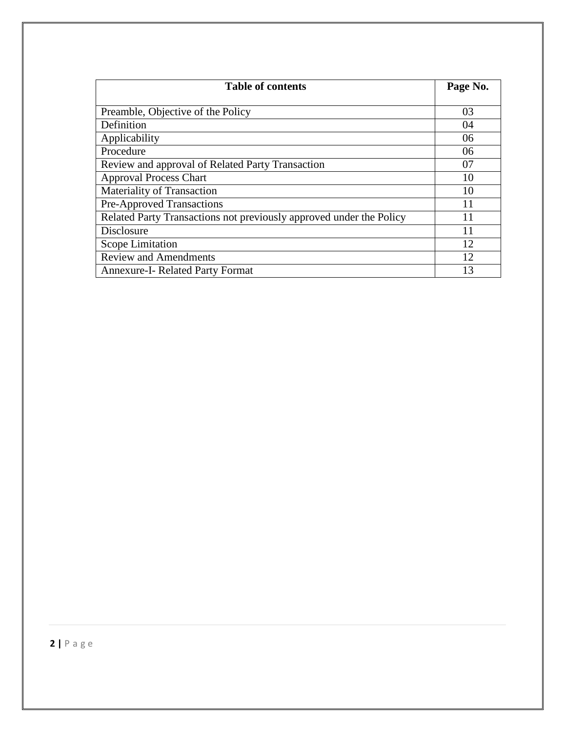| <b>Table of contents</b>                                            | Page No. |
|---------------------------------------------------------------------|----------|
|                                                                     |          |
| Preamble, Objective of the Policy                                   | 03       |
| Definition                                                          | 04       |
| Applicability                                                       | 06       |
| Procedure                                                           | 06       |
| Review and approval of Related Party Transaction                    | 07       |
| <b>Approval Process Chart</b>                                       | 10       |
| Materiality of Transaction                                          | 10       |
| <b>Pre-Approved Transactions</b>                                    | 11       |
| Related Party Transactions not previously approved under the Policy | 11       |
| Disclosure                                                          | 11       |
| Scope Limitation                                                    | 12       |
| <b>Review and Amendments</b>                                        | 12       |
| <b>Annexure-I- Related Party Format</b>                             | 13       |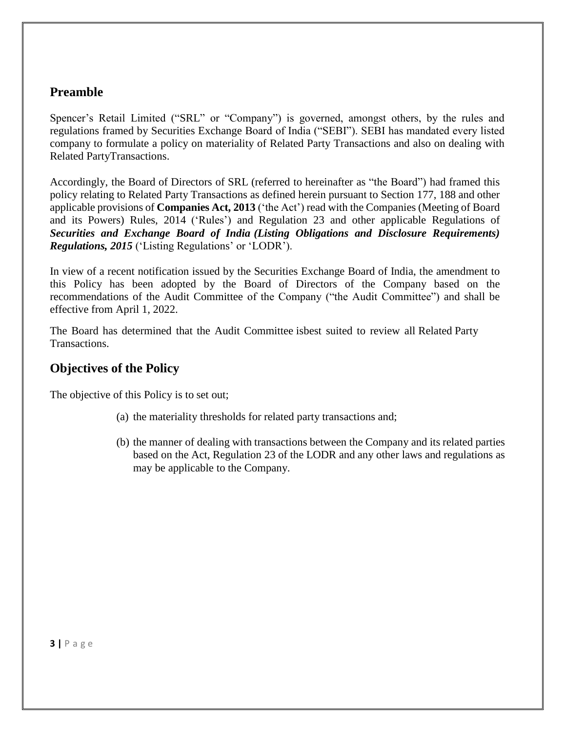# **Preamble**

Spencer's Retail Limited ("SRL" or "Company") is governed, amongst others, by the rules and regulations framed by Securities Exchange Board of India ("SEBI"). SEBI has mandated every listed company to formulate a policy on materiality of Related Party Transactions and also on dealing with Related PartyTransactions.

Accordingly, the Board of Directors of SRL (referred to hereinafter as "the Board") had framed this policy relating to Related Party Transactions as defined herein pursuant to Section 177, 188 and other applicable provisions of **Companies Act, 2013** ('the Act') read with the Companies (Meeting of Board and its Powers) Rules, 2014 ('Rules') and Regulation 23 and other applicable Regulations of *Securities and Exchange Board of India (Listing Obligations and Disclosure Requirements) Regulations, 2015* ('Listing Regulations' or 'LODR').

In view of a recent notification issued by the Securities Exchange Board of India, the amendment to this Policy has been adopted by the Board of Directors of the Company based on the recommendations of the Audit Committee of the Company ("the Audit Committee") and shall be effective from April 1, 2022.

The Board has determined that the Audit Committee isbest suited to review all Related Party Transactions.

## **Objectives of the Policy**

The objective of this Policy is to set out;

- (a) the materiality thresholds for related party transactions and;
- (b) the manner of dealing with transactions between the Company and its related parties based on the Act, Regulation 23 of the LODR and any other laws and regulations as may be applicable to the Company.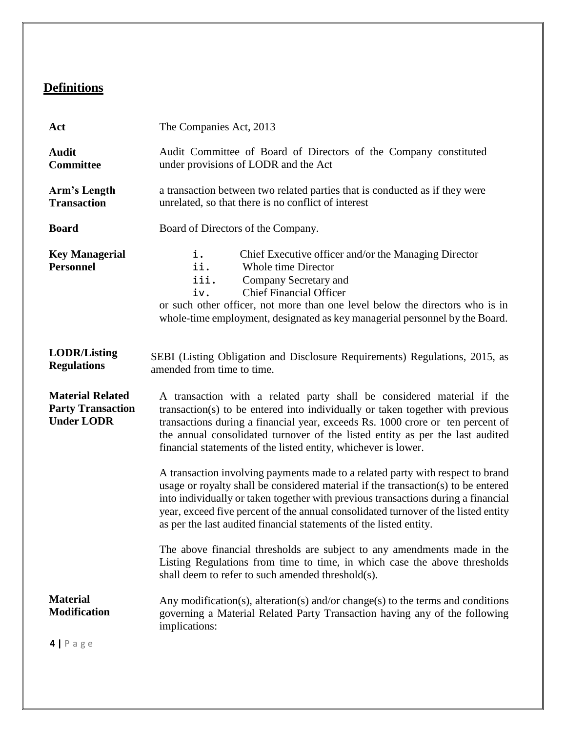# **Definitions**

| Act                                                                      | The Companies Act, 2013                                                                                                                                                                                                                                                                                                                                                                                              |  |  |  |  |  |
|--------------------------------------------------------------------------|----------------------------------------------------------------------------------------------------------------------------------------------------------------------------------------------------------------------------------------------------------------------------------------------------------------------------------------------------------------------------------------------------------------------|--|--|--|--|--|
| <b>Audit</b><br><b>Committee</b>                                         | Audit Committee of Board of Directors of the Company constituted<br>under provisions of LODR and the Act                                                                                                                                                                                                                                                                                                             |  |  |  |  |  |
| Arm's Length<br><b>Transaction</b>                                       | a transaction between two related parties that is conducted as if they were<br>unrelated, so that there is no conflict of interest                                                                                                                                                                                                                                                                                   |  |  |  |  |  |
| <b>Board</b>                                                             | Board of Directors of the Company.                                                                                                                                                                                                                                                                                                                                                                                   |  |  |  |  |  |
| <b>Key Managerial</b><br><b>Personnel</b>                                | i.<br>Chief Executive officer and/or the Managing Director<br>ii.<br>Whole time Director<br>iii.<br>Company Secretary and<br><b>Chief Financial Officer</b><br>iv.<br>or such other officer, not more than one level below the directors who is in<br>whole-time employment, designated as key managerial personnel by the Board.                                                                                    |  |  |  |  |  |
| <b>LODR/Listing</b><br><b>Regulations</b>                                | SEBI (Listing Obligation and Disclosure Requirements) Regulations, 2015, as<br>amended from time to time.                                                                                                                                                                                                                                                                                                            |  |  |  |  |  |
| <b>Material Related</b><br><b>Party Transaction</b><br><b>Under LODR</b> | A transaction with a related party shall be considered material if the<br>transaction(s) to be entered into individually or taken together with previous<br>transactions during a financial year, exceeds Rs. 1000 crore or ten percent of<br>the annual consolidated turnover of the listed entity as per the last audited<br>financial statements of the listed entity, whichever is lower.                        |  |  |  |  |  |
|                                                                          | A transaction involving payments made to a related party with respect to brand<br>usage or royalty shall be considered material if the transaction(s) to be entered<br>into individually or taken together with previous transactions during a financial<br>year, exceed five percent of the annual consolidated turnover of the listed entity<br>as per the last audited financial statements of the listed entity. |  |  |  |  |  |
|                                                                          | The above financial thresholds are subject to any amendments made in the<br>Listing Regulations from time to time, in which case the above thresholds<br>shall deem to refer to such amended threshold(s).                                                                                                                                                                                                           |  |  |  |  |  |
| <b>Material</b><br><b>Modification</b>                                   | Any modification(s), alteration(s) and/or change(s) to the terms and conditions<br>governing a Material Related Party Transaction having any of the following<br>implications:                                                                                                                                                                                                                                       |  |  |  |  |  |
| $4   P \text{age}$                                                       |                                                                                                                                                                                                                                                                                                                                                                                                                      |  |  |  |  |  |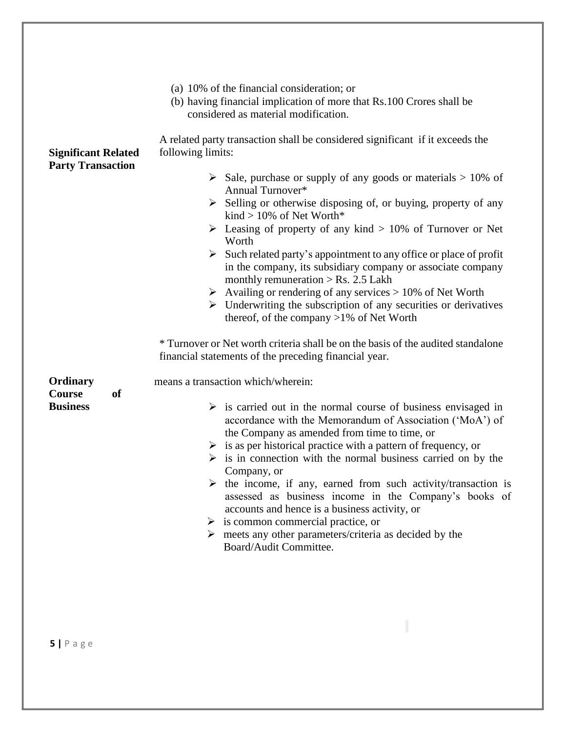|                                                        | (a) 10% of the financial consideration; or<br>(b) having financial implication of more that Rs.100 Crores shall be<br>considered as material modification.                                                                                                                                                                                                                                                                                                                                                                                                                                                                                                                                                                      |  |  |  |  |
|--------------------------------------------------------|---------------------------------------------------------------------------------------------------------------------------------------------------------------------------------------------------------------------------------------------------------------------------------------------------------------------------------------------------------------------------------------------------------------------------------------------------------------------------------------------------------------------------------------------------------------------------------------------------------------------------------------------------------------------------------------------------------------------------------|--|--|--|--|
| <b>Significant Related</b><br><b>Party Transaction</b> | A related party transaction shall be considered significant if it exceeds the<br>following limits:                                                                                                                                                                                                                                                                                                                                                                                                                                                                                                                                                                                                                              |  |  |  |  |
|                                                        | $\triangleright$ Sale, purchase or supply of any goods or materials $> 10\%$ of<br>Annual Turnover*<br>$\triangleright$ Selling or otherwise disposing of, or buying, property of any<br>kind > $10\%$ of Net Worth*                                                                                                                                                                                                                                                                                                                                                                                                                                                                                                            |  |  |  |  |
|                                                        | Easing of property of any kind $> 10\%$ of Turnover or Net<br>Worth                                                                                                                                                                                                                                                                                                                                                                                                                                                                                                                                                                                                                                                             |  |  |  |  |
|                                                        | $\triangleright$ Such related party's appointment to any office or place of profit<br>in the company, its subsidiary company or associate company<br>monthly remuneration $>$ Rs. 2.5 Lakh                                                                                                                                                                                                                                                                                                                                                                                                                                                                                                                                      |  |  |  |  |
|                                                        | $\triangleright$ Availing or rendering of any services > 10% of Net Worth<br>$\triangleright$ Underwriting the subscription of any securities or derivatives<br>thereof, of the company $>1\%$ of Net Worth                                                                                                                                                                                                                                                                                                                                                                                                                                                                                                                     |  |  |  |  |
|                                                        | * Turnover or Net worth criteria shall be on the basis of the audited standalone<br>financial statements of the preceding financial year.                                                                                                                                                                                                                                                                                                                                                                                                                                                                                                                                                                                       |  |  |  |  |
| Ordinary<br><b>Course</b><br><sub>of</sub>             | means a transaction which/wherein:                                                                                                                                                                                                                                                                                                                                                                                                                                                                                                                                                                                                                                                                                              |  |  |  |  |
| <b>Business</b>                                        | $\triangleright$ is carried out in the normal course of business envisaged in<br>accordance with the Memorandum of Association ('MoA') of<br>the Company as amended from time to time, or<br>$\triangleright$ is as per historical practice with a pattern of frequency, or<br>$\triangleright$ is in connection with the normal business carried on by the<br>Company, or<br>$\triangleright$ the income, if any, earned from such activity/transaction is<br>assessed as business income in the Company's books of<br>accounts and hence is a business activity, or<br>$\triangleright$ is common commercial practice, or<br>$\triangleright$ meets any other parameters/criteria as decided by the<br>Board/Audit Committee. |  |  |  |  |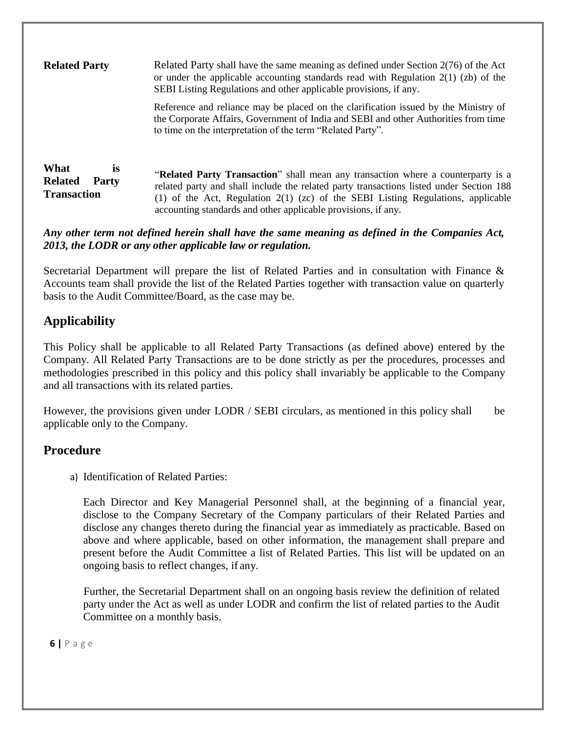| <b>Related Party</b>                                                      | Related Party shall have the same meaning as defined under Section $2(76)$ of the Act<br>or under the applicable accounting standards read with Regulation $2(1)$ (zb) of the<br>SEBI Listing Regulations and other applicable provisions, if any.                                                                                 |  |  |
|---------------------------------------------------------------------------|------------------------------------------------------------------------------------------------------------------------------------------------------------------------------------------------------------------------------------------------------------------------------------------------------------------------------------|--|--|
|                                                                           | Reference and reliance may be placed on the clarification issued by the Ministry of<br>the Corporate Affairs, Government of India and SEBI and other Authorities from time<br>to time on the interpretation of the term "Related Party".                                                                                           |  |  |
| What<br><b>is</b><br><b>Related</b><br><b>Party</b><br><b>Transaction</b> | "Related Party Transaction" shall mean any transaction where a counterparty is a<br>related party and shall include the related party transactions listed under Section 188<br>(1) of the Act, Regulation $2(1)$ (zc) of the SEBI Listing Regulations, applicable<br>accounting standards and other applicable provisions, if any. |  |  |

*Any other term not defined herein shall have the same meaning as defined in the Companies Act, 2013, the LODR or any other applicable law or regulation.*

Secretarial Department will prepare the list of Related Parties and in consultation with Finance & Accounts team shall provide the list of the Related Parties together with transaction value on quarterly basis to the Audit Committee/Board, as the case may be.

# **Applicability**

This Policy shall be applicable to all Related Party Transactions (as defined above) entered by the Company. All Related Party Transactions are to be done strictly as per the procedures, processes and methodologies prescribed in this policy and this policy shall invariably be applicable to the Company and all transactions with its related parties.

However, the provisions given under LODR / SEBI circulars, as mentioned in this policy shall be applicable only to the Company.

### **Procedure**

a) Identification of Related Parties:

Each Director and Key Managerial Personnel shall, at the beginning of a financial year, disclose to the Company Secretary of the Company particulars of their Related Parties and disclose any changes thereto during the financial year as immediately as practicable. Based on above and where applicable, based on other information, the management shall prepare and present before the Audit Committee a list of Related Parties. This list will be updated on an ongoing basis to reflect changes, if any.

Further, the Secretarial Department shall on an ongoing basis review the definition of related party under the Act as well as under LODR and confirm the list of related parties to the Audit Committee on a monthly basis.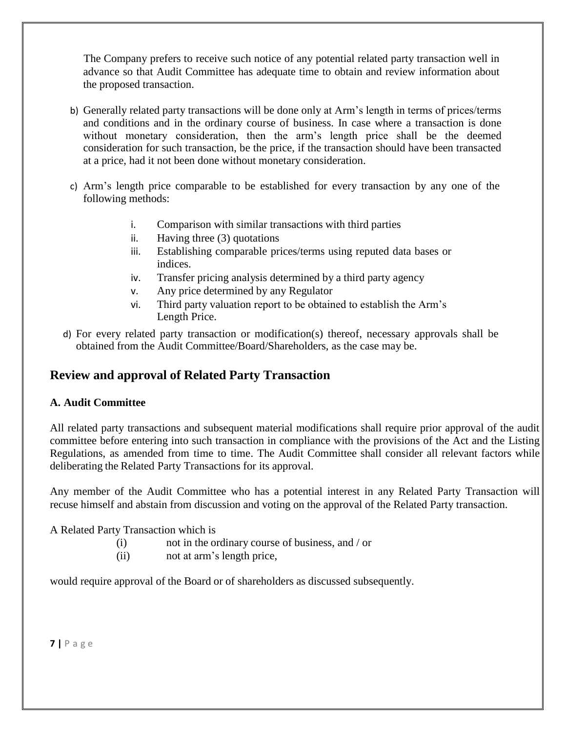The Company prefers to receive such notice of any potential related party transaction well in advance so that Audit Committee has adequate time to obtain and review information about the proposed transaction.

- b) Generally related party transactions will be done only at Arm's length in terms of prices/terms and conditions and in the ordinary course of business. In case where a transaction is done without monetary consideration, then the arm's length price shall be the deemed consideration for such transaction, be the price, if the transaction should have been transacted at a price, had it not been done without monetary consideration.
- c) Arm's length price comparable to be established for every transaction by any one of the following methods:
	- i. Comparison with similar transactions with third parties
	- ii. Having three (3) quotations
	- iii. Establishing comparable prices/terms using reputed data bases or indices.
	- iv. Transfer pricing analysis determined by a third party agency
	- v. Any price determined by any Regulator
	- vi. Third party valuation report to be obtained to establish the Arm's Length Price.
- d) For every related party transaction or modification(s) thereof, necessary approvals shall be obtained from the Audit Committee/Board/Shareholders, as the case may be.

# **Review and approval of Related Party Transaction**

#### **A. Audit Committee**

All related party transactions and subsequent material modifications shall require prior approval of the audit committee before entering into such transaction in compliance with the provisions of the Act and the Listing Regulations, as amended from time to time. The Audit Committee shall consider all relevant factors while deliberating the Related Party Transactions for its approval.

Any member of the Audit Committee who has a potential interest in any Related Party Transaction will recuse himself and abstain from discussion and voting on the approval of the Related Party transaction.

A Related Party Transaction which is

- (i) not in the ordinary course of business, and / or
- (ii) not at arm's length price,

would require approval of the Board or of shareholders as discussed subsequently.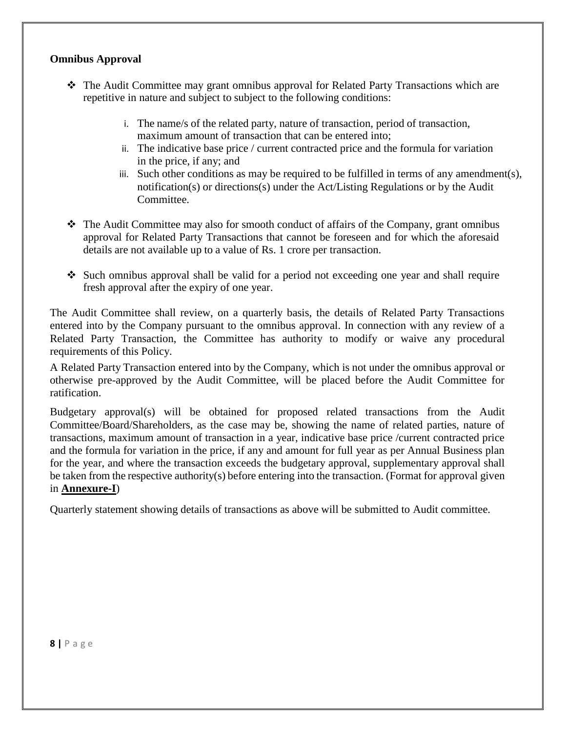#### **Omnibus Approval**

- The Audit Committee may grant omnibus approval for Related Party Transactions which are repetitive in nature and subject to subject to the following conditions:
	- i. The name/s of the related party, nature of transaction, period of transaction, maximum amount of transaction that can be entered into;
	- ii. The indicative base price / current contracted price and the formula for variation in the price, if any; and
	- iii. Such other conditions as may be required to be fulfilled in terms of any amendment(s), notification(s) or directions(s) under the Act/Listing Regulations or by the Audit Committee.
- $\div$  The Audit Committee may also for smooth conduct of affairs of the Company, grant omnibus approval for Related Party Transactions that cannot be foreseen and for which the aforesaid details are not available up to a value of Rs. 1 crore per transaction.
- $\triangle$  Such omnibus approval shall be valid for a period not exceeding one year and shall require fresh approval after the expiry of one year.

The Audit Committee shall review, on a quarterly basis, the details of Related Party Transactions entered into by the Company pursuant to the omnibus approval. In connection with any review of a Related Party Transaction, the Committee has authority to modify or waive any procedural requirements of this Policy.

A Related Party Transaction entered into by the Company, which is not under the omnibus approval or otherwise pre-approved by the Audit Committee, will be placed before the Audit Committee for ratification.

Budgetary approval(s) will be obtained for proposed related transactions from the Audit Committee/Board/Shareholders, as the case may be, showing the name of related parties, nature of transactions, maximum amount of transaction in a year, indicative base price /current contracted price and the formula for variation in the price, if any and amount for full year as per Annual Business plan for the year, and where the transaction exceeds the budgetary approval, supplementary approval shall be taken from the respective authority(s) before entering into the transaction. (Format for approval given in **Annexure-I**)

Quarterly statement showing details of transactions as above will be submitted to Audit committee.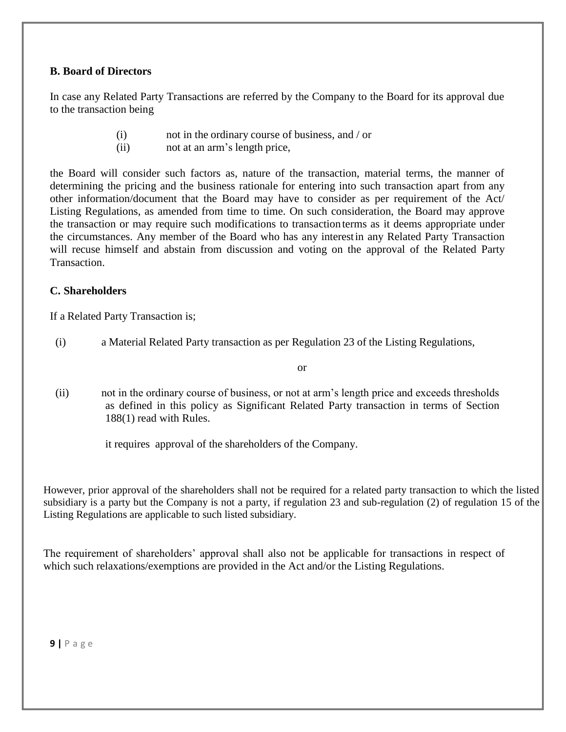#### **B. Board of Directors**

In case any Related Party Transactions are referred by the Company to the Board for its approval due to the transaction being

- (i) not in the ordinary course of business, and / or
- (ii) not at an arm's length price,

the Board will consider such factors as, nature of the transaction, material terms, the manner of determining the pricing and the business rationale for entering into such transaction apart from any other information/document that the Board may have to consider as per requirement of the Act/ Listing Regulations, as amended from time to time. On such consideration, the Board may approve the transaction or may require such modifications to transactionterms as it deems appropriate under the circumstances. Any member of the Board who has any interestin any Related Party Transaction will recuse himself and abstain from discussion and voting on the approval of the Related Party Transaction.

#### **C. Shareholders**

If a Related Party Transaction is;

(i) a Material Related Party transaction as per Regulation 23 of the Listing Regulations,

or

(ii) not in the ordinary course of business, or not at arm's length price and exceeds thresholds as defined in this policy as Significant Related Party transaction in terms of Section 188(1) read with Rules.

it requires approval of the shareholders of the Company.

However, prior approval of the shareholders shall not be required for a related party transaction to which the listed subsidiary is a party but the Company is not a party, if regulation 23 and sub-regulation (2) of regulation 15 of the Listing Regulations are applicable to such listed subsidiary.

The requirement of shareholders' approval shall also not be applicable for transactions in respect of which such relaxations/exemptions are provided in the Act and/or the Listing Regulations.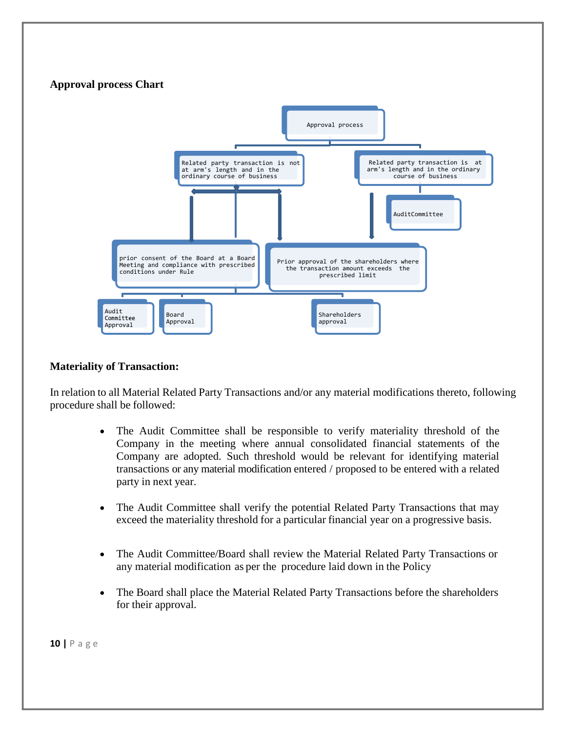### **Approval process Chart**



#### **Materiality of Transaction:**

In relation to all Material Related Party Transactions and/or any material modifications thereto, following procedure shall be followed:

- The Audit Committee shall be responsible to verify materiality threshold of the Company in the meeting where annual consolidated financial statements of the Company are adopted. Such threshold would be relevant for identifying material transactions or any material modification entered / proposed to be entered with a related party in next year.
- The Audit Committee shall verify the potential Related Party Transactions that may exceed the materiality threshold for a particular financial year on a progressive basis.
- The Audit Committee/Board shall review the Material Related Party Transactions or any material modification as per the procedure laid down in the Policy
- The Board shall place the Material Related Party Transactions before the shareholders for their approval.

**10 |** P a g e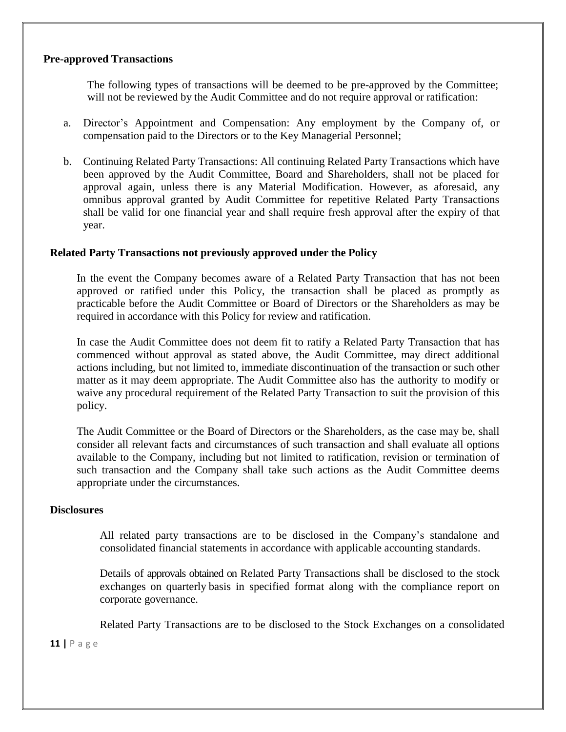#### **Pre-approved Transactions**

The following types of transactions will be deemed to be pre-approved by the Committee; will not be reviewed by the Audit Committee and do not require approval or ratification:

- a. Director's Appointment and Compensation: Any employment by the Company of, or compensation paid to the Directors or to the Key Managerial Personnel;
- b. Continuing Related Party Transactions: All continuing Related Party Transactions which have been approved by the Audit Committee, Board and Shareholders, shall not be placed for approval again, unless there is any Material Modification. However, as aforesaid, any omnibus approval granted by Audit Committee for repetitive Related Party Transactions shall be valid for one financial year and shall require fresh approval after the expiry of that year.

#### **Related Party Transactions not previously approved under the Policy**

In the event the Company becomes aware of a Related Party Transaction that has not been approved or ratified under this Policy, the transaction shall be placed as promptly as practicable before the Audit Committee or Board of Directors or the Shareholders as may be required in accordance with this Policy for review and ratification.

In case the Audit Committee does not deem fit to ratify a Related Party Transaction that has commenced without approval as stated above, the Audit Committee, may direct additional actions including, but not limited to, immediate discontinuation of the transaction or such other matter as it may deem appropriate. The Audit Committee also has the authority to modify or waive any procedural requirement of the Related Party Transaction to suit the provision of this policy.

The Audit Committee or the Board of Directors or the Shareholders, as the case may be, shall consider all relevant facts and circumstances of such transaction and shall evaluate all options available to the Company, including but not limited to ratification, revision or termination of such transaction and the Company shall take such actions as the Audit Committee deems appropriate under the circumstances.

#### **Disclosures**

All related party transactions are to be disclosed in the Company's standalone and consolidated financial statements in accordance with applicable accounting standards.

Details of approvals obtained on Related Party Transactions shall be disclosed to the stock exchanges on quarterly basis in specified format along with the compliance report on corporate governance.

Related Party Transactions are to be disclosed to the Stock Exchanges on a consolidated

#### **11 |** P a g e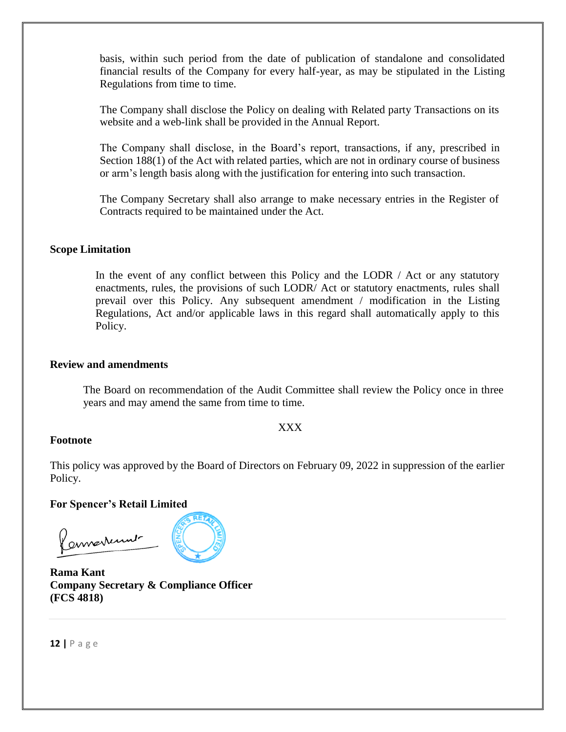basis, within such period from the date of publication of standalone and consolidated financial results of the Company for every half-year, as may be stipulated in the Listing Regulations from time to time.

The Company shall disclose the Policy on dealing with Related party Transactions on its website and a web-link shall be provided in the Annual Report.

The Company shall disclose, in the Board's report, transactions, if any, prescribed in Section 188(1) of the Act with related parties, which are not in ordinary course of business or arm's length basis along with the justification for entering into such transaction.

The Company Secretary shall also arrange to make necessary entries in the Register of Contracts required to be maintained under the Act.

#### **Scope Limitation**

In the event of any conflict between this Policy and the LODR / Act or any statutory enactments, rules, the provisions of such LODR/ Act or statutory enactments, rules shall prevail over this Policy. Any subsequent amendment / modification in the Listing Regulations, Act and/or applicable laws in this regard shall automatically apply to this Policy.

#### **Review and amendments**

The Board on recommendation of the Audit Committee shall review the Policy once in three years and may amend the same from time to time.

#### XXX

#### **Footnote**

This policy was approved by the Board of Directors on February 09, 2022 in suppression of the earlier Policy.

**For Spencer's Retail Limited**

Remarkement

**Rama Kant Company Secretary & Compliance Officer (FCS 4818)**

**12 |** P a g e